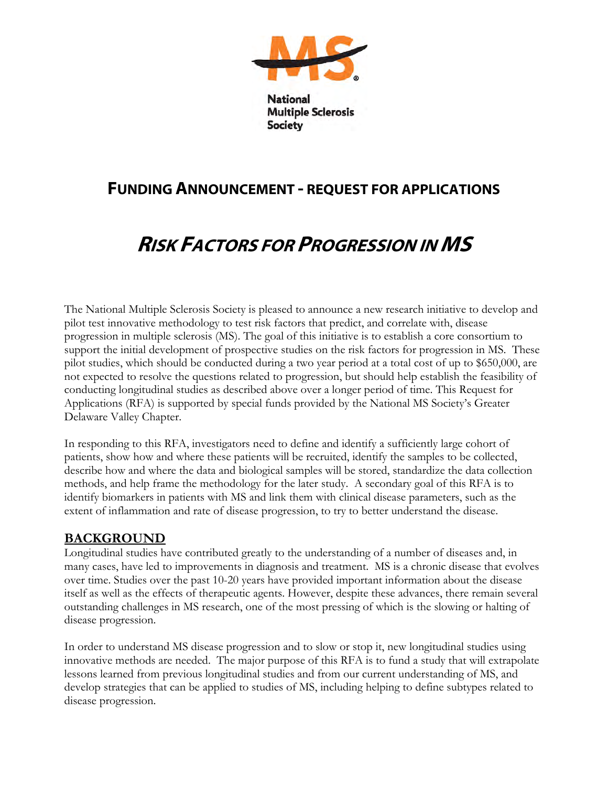

# FUNDING ANNOUNCEMENT - REQUEST FOR APPLICATIONS

**Society** 

# RISK FACTORS FOR PROGRESSION IN MS

The National Multiple Sclerosis Society is pleased to announce a new research initiative to develop and pilot test innovative methodology to test risk factors that predict, and correlate with, disease progression in multiple sclerosis (MS). The goal of this initiative is to establish a core consortium to support the initial development of prospective studies on the risk factors for progression in MS. These pilot studies, which should be conducted during a two year period at a total cost of up to \$650,000, are not expected to resolve the questions related to progression, but should help establish the feasibility of conducting longitudinal studies as described above over a longer period of time. This Request for Applications (RFA) is supported by special funds provided by the National MS Society's Greater Delaware Valley Chapter.

In responding to this RFA, investigators need to define and identify a sufficiently large cohort of patients, show how and where these patients will be recruited, identify the samples to be collected, describe how and where the data and biological samples will be stored, standardize the data collection methods, and help frame the methodology for the later study. A secondary goal of this RFA is to identify biomarkers in patients with MS and link them with clinical disease parameters, such as the extent of inflammation and rate of disease progression, to try to better understand the disease.

#### **BACKGROUND**

Longitudinal studies have contributed greatly to the understanding of a number of diseases and, in many cases, have led to improvements in diagnosis and treatment. MS is a chronic disease that evolves over time. Studies over the past 10-20 years have provided important information about the disease itself as well as the effects of therapeutic agents. However, despite these advances, there remain several outstanding challenges in MS research, one of the most pressing of which is the slowing or halting of disease progression.

In order to understand MS disease progression and to slow or stop it, new longitudinal studies using innovative methods are needed. The major purpose of this RFA is to fund a study that will extrapolate lessons learned from previous longitudinal studies and from our current understanding of MS, and develop strategies that can be applied to studies of MS, including helping to define subtypes related to disease progression.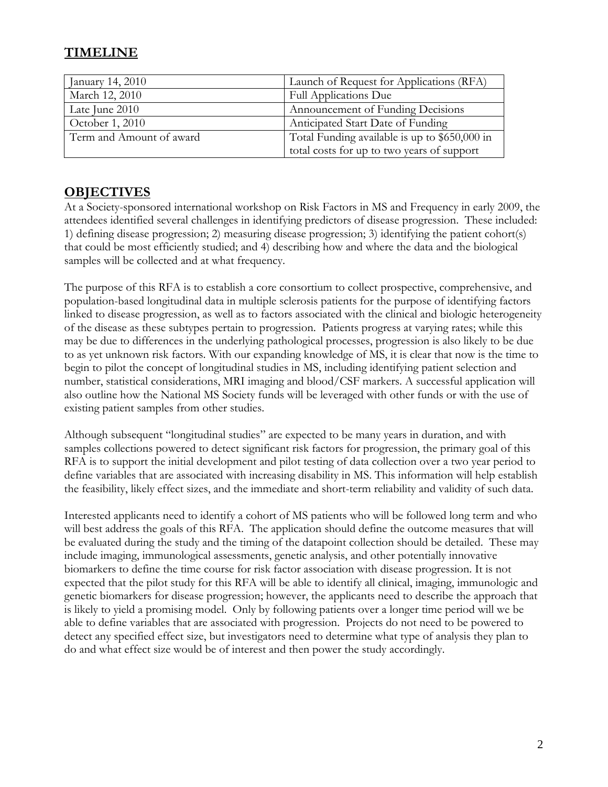# **TIMELINE**

| January 14, 2010         | Launch of Request for Applications (RFA)      |
|--------------------------|-----------------------------------------------|
| March 12, 2010           | <b>Full Applications Due</b>                  |
| Late June 2010           | Announcement of Funding Decisions             |
| October 1, 2010          | Anticipated Start Date of Funding             |
| Term and Amount of award | Total Funding available is up to \$650,000 in |
|                          | total costs for up to two years of support    |

### **OBJECTIVES**

At a Society-sponsored international workshop on Risk Factors in MS and Frequency in early 2009, the attendees identified several challenges in identifying predictors of disease progression. These included: 1) defining disease progression; 2) measuring disease progression; 3) identifying the patient cohort(s) that could be most efficiently studied; and 4) describing how and where the data and the biological samples will be collected and at what frequency.

The purpose of this RFA is to establish a core consortium to collect prospective, comprehensive, and population-based longitudinal data in multiple sclerosis patients for the purpose of identifying factors linked to disease progression, as well as to factors associated with the clinical and biologic heterogeneity of the disease as these subtypes pertain to progression. Patients progress at varying rates; while this may be due to differences in the underlying pathological processes, progression is also likely to be due to as yet unknown risk factors. With our expanding knowledge of MS, it is clear that now is the time to begin to pilot the concept of longitudinal studies in MS, including identifying patient selection and number, statistical considerations, MRI imaging and blood/CSF markers. A successful application will also outline how the National MS Society funds will be leveraged with other funds or with the use of existing patient samples from other studies.

Although subsequent "longitudinal studies" are expected to be many years in duration, and with samples collections powered to detect significant risk factors for progression, the primary goal of this RFA is to support the initial development and pilot testing of data collection over a two year period to define variables that are associated with increasing disability in MS. This information will help establish the feasibility, likely effect sizes, and the immediate and short-term reliability and validity of such data.

Interested applicants need to identify a cohort of MS patients who will be followed long term and who will best address the goals of this RFA. The application should define the outcome measures that will be evaluated during the study and the timing of the datapoint collection should be detailed. These may include imaging, immunological assessments, genetic analysis, and other potentially innovative biomarkers to define the time course for risk factor association with disease progression. It is not expected that the pilot study for this RFA will be able to identify all clinical, imaging, immunologic and genetic biomarkers for disease progression; however, the applicants need to describe the approach that is likely to yield a promising model. Only by following patients over a longer time period will we be able to define variables that are associated with progression. Projects do not need to be powered to detect any specified effect size, but investigators need to determine what type of analysis they plan to do and what effect size would be of interest and then power the study accordingly.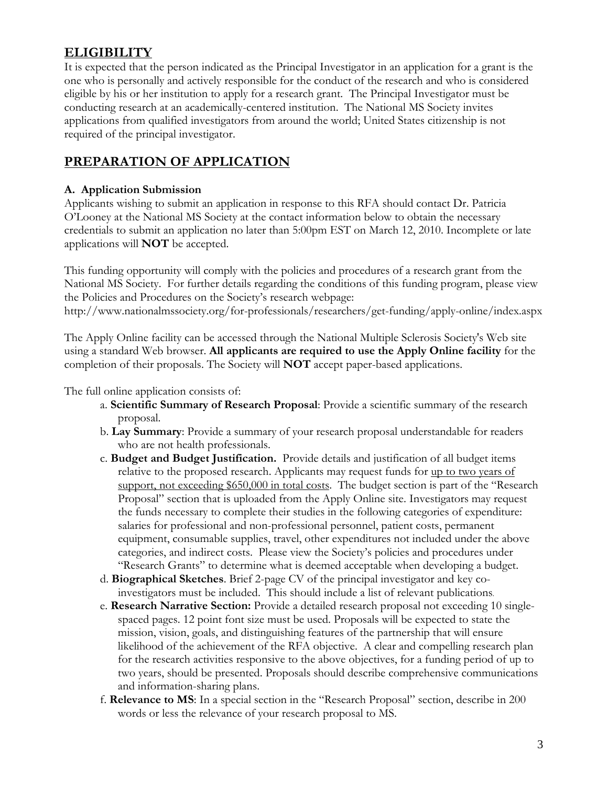## **ELIGIBILITY**

It is expected that the person indicated as the Principal Investigator in an application for a grant is the one who is personally and actively responsible for the conduct of the research and who is considered eligible by his or her institution to apply for a research grant. The Principal Investigator must be conducting research at an academically-centered institution. The National MS Society invites applications from qualified investigators from around the world; United States citizenship is not required of the principal investigator.

#### **PREPARATION OF APPLICATION**

#### **A. Application Submission**

Applicants wishing to submit an application in response to this RFA should contact Dr. Patricia O'Looney at the National MS Society at the contact information below to obtain the necessary credentials to submit an application no later than 5:00pm EST on March 12, 2010. Incomplete or late applications will **NOT** be accepted.

This funding opportunity will comply with the policies and procedures of a research grant from the National MS Society. For further details regarding the conditions of this funding program, please view the Policies and Procedures on the Society's research webpage: http://www.nationalmssociety.org/for-professionals/researchers/get-funding/apply-online/index.aspx

The Apply Online facility can be accessed through the National Multiple Sclerosis Society's Web site using a standard Web browser. **All applicants are required to use the Apply Online facility** for the completion of their proposals. The Society will **NOT** accept paper-based applications.

The full online application consists of:

- a. **Scientific Summary of Research Proposal**: Provide a scientific summary of the research proposal.
- b. **Lay Summary**: Provide a summary of your research proposal understandable for readers who are not health professionals.
- c. **Budget and Budget Justification.** Provide details and justification of all budget items relative to the proposed research. Applicants may request funds for up to two years of support, not exceeding \$650,000 in total costs. The budget section is part of the "Research Proposal" section that is uploaded from the Apply Online site. Investigators may request the funds necessary to complete their studies in the following categories of expenditure: salaries for professional and non-professional personnel, patient costs, permanent equipment, consumable supplies, travel, other expenditures not included under the above categories, and indirect costs. Please view the Society's policies and procedures under "Research Grants" to determine what is deemed acceptable when developing a budget.
- d. **Biographical Sketches**. Brief 2-page CV of the principal investigator and key coinvestigators must be included. This should include a list of relevant publications.
- e. **Research Narrative Section:** Provide a detailed research proposal not exceeding 10 singlespaced pages. 12 point font size must be used. Proposals will be expected to state the mission, vision, goals, and distinguishing features of the partnership that will ensure likelihood of the achievement of the RFA objective. A clear and compelling research plan for the research activities responsive to the above objectives, for a funding period of up to two years, should be presented. Proposals should describe comprehensive communications and information-sharing plans.
- f. **Relevance to MS**: In a special section in the "Research Proposal" section, describe in 200 words or less the relevance of your research proposal to MS.